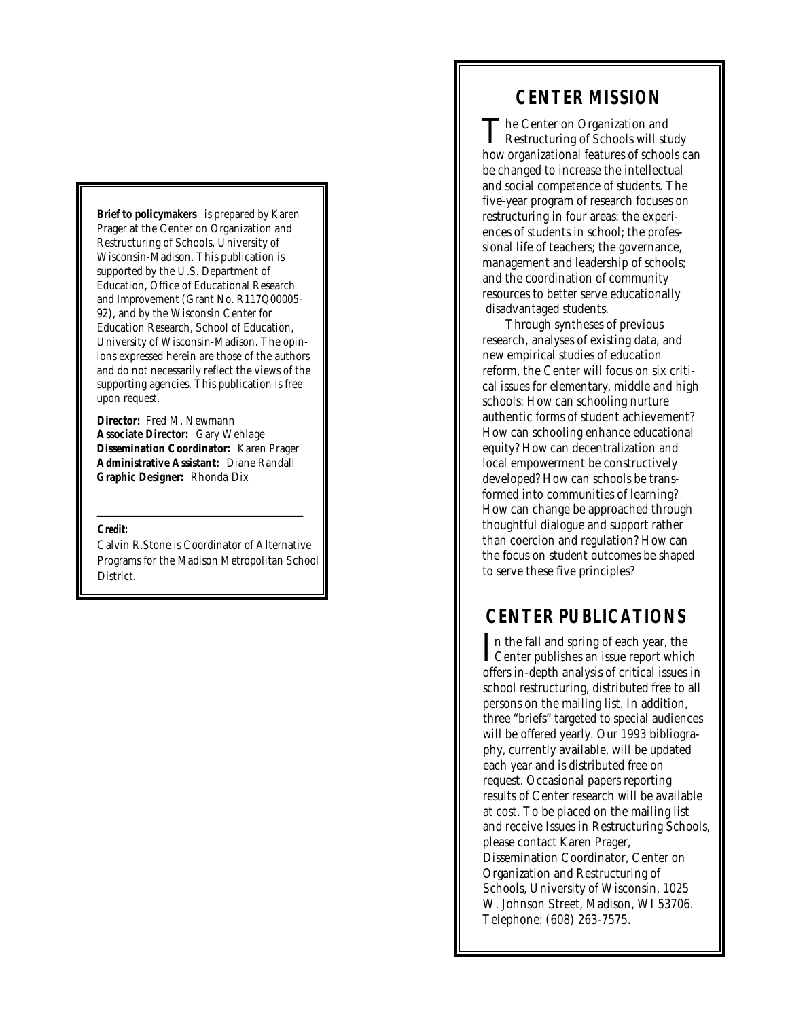**Brief to policymakers** is prepared by Karen Prager at the Center on Organization and Restructuring of Schools, University of Wisconsin-Madison. This publication is supported by the U.S. Department of Education, Office of Educational Research and Improvement (Grant No. R117Q00005- 92), and by the Wisconsin Center for Education Research, School of Education, University of Wisconsin-Madison. The opinions expressed herein are those of the authors and do not necessarily reflect the views of the supporting agencies. This publication is free upon request.

**Director:** Fred M. Newmann **Associate Director:** Gary Wehlage **Dissemination Coordinator:** Karen Prager **Administrative Assistant:** Diane Randall **Graphic Designer:** Rhonda Dix

#### **Credit:**

Calvin R.Stone is Coordinator of Alternative Programs for the Madison Metropolitan School District.

## **CENTER MISSION**

The Center on Organization and<br>Restructuring of Schools will study The Center on Organization and how organizational features of schools can be changed to increase the intellectual and social competence of students. The five-year program of research focuses on restructuring in four areas: the experiences of students in school; the professional life of teachers; the governance, management and leadership of schools; and the coordination of community resources to better serve educationally disadvantaged students.

Through syntheses of previous research, analyses of existing data, and new empirical studies of education reform, the Center will focus on six critical issues for elementary, middle and high schools: How can schooling nurture authentic forms of student achievement? How can schooling enhance educational equity? How can decentralization and local empowerment be constructively developed? How can schools be transformed into communities of learning? How can change be approached through thoughtful dialogue and support rather than coercion and regulation? How can the focus on student outcomes be shaped to serve these five principles?

## **CENTER PUBLICATIONS**

In the fall and spring of each year, the<br>Center publishes an issue report which Center publishes an issue report which offers in-depth analysis of critical issues in school restructuring, distributed free to all persons on the mailing list. In addition, three "briefs" targeted to special audiences will be offered yearly. Our 1993 bibliography, currently available, will be updated each year and is distributed free on request. Occasional papers reporting results of Center research will be available at cost. To be placed on the mailing list and receive *Issues in Restructuring Schools,* please contact Karen Prager, Dissemination Coordinator, Center on Organization and Restructuring of Schools, University of Wisconsin, 1025 W. Johnson Street, Madison, WI 53706. Telephone: (608) 263-7575.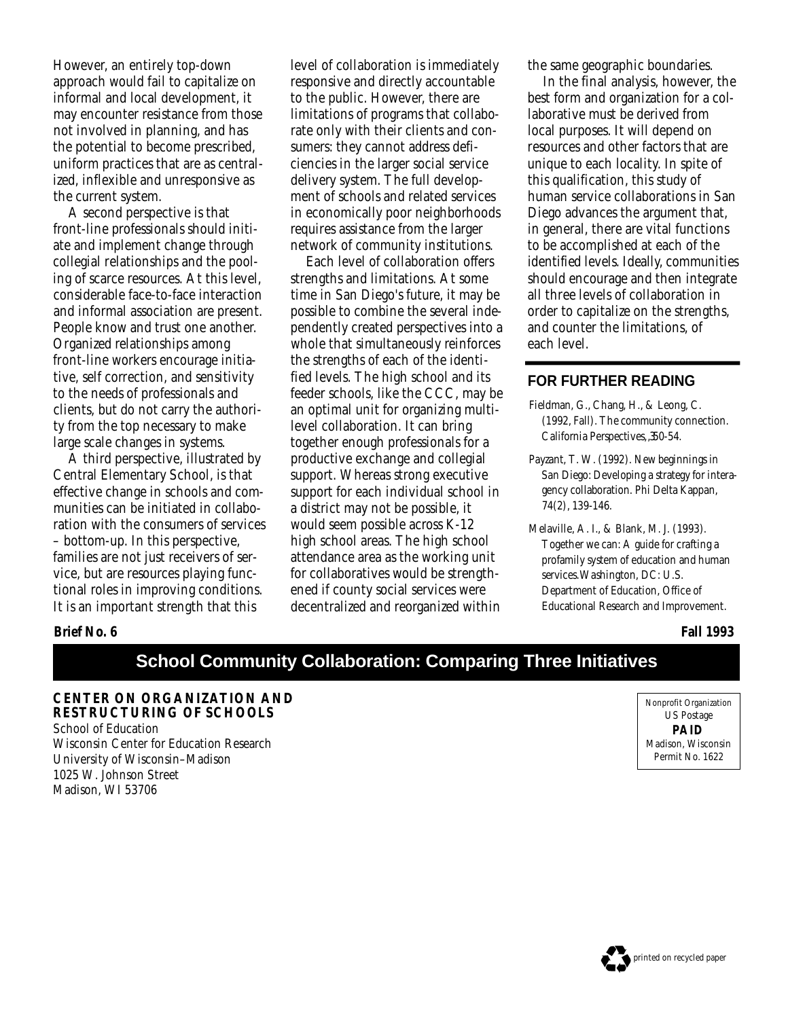However, an entirely top-down approach would fail to capitalize on informal and local development, it may encounter resistance from those not involved in planning, and has the potential to become prescribed, uniform practices that are as centralized, inflexible and unresponsive as the current system.

A second perspective is that front-line professionals should initiate and implement change through collegial relationships and the pooling of scarce resources. At this level, considerable face-to-face interaction and informal association are present. People know and trust one another. Organized relationships among front-line workers encourage initiative, self correction, and sensitivity to the needs of professionals and clients, but do not carry the authority from the top necessary to make large scale changes in systems.

A third perspective, illustrated by Central Elementary School, is that effective change in schools and communities can be initiated in collaboration with the consumers of services – bottom-up. In this perspective, families are not just receivers of service, but are resources playing functional roles in improving conditions. It is an important strength that this

level of collaboration is immediately responsive and directly accountable to the public. However, there are limitations of programs that collaborate only with their clients and consumers: they cannot address deficiencies in the larger social service delivery system. The full development of schools and related services in economically poor neighborhoods requires assistance from the larger network of community institutions.

Each level of collaboration offers strengths and limitations. At some time in San Diego's future, it may be possible to combine the several independently created perspectives into a whole that simultaneously reinforces the strengths of each of the identified levels. The high school and its feeder schools, like the CCC, may be an optimal unit for organizing multilevel collaboration. It can bring together enough professionals for a productive exchange and collegial support. Whereas strong executive support for each individual school in a district may not be possible, it would seem possible across K-12 high school areas. The high school attendance area as the working unit for collaboratives would be strengthened if county social services were decentralized and reorganized within

the same geographic boundaries.

In the final analysis, however, the best form and organization for a collaborative must be derived from local purposes. It will depend on resources and other factors that are unique to each locality. In spite of this qualification, this study of human service collaborations in San Diego advances the argument that, in general, there are vital functions to be accomplished at each of the identified levels. Ideally, communities should encourage and then integrate all three levels of collaboration in order to capitalize on the strengths, and counter the limitations, of each level.

### **FOR FURTHER READING**

- Fieldman, G., Chang, H., & Leong, C. (1992, Fall). The community connection. *California Perspectives, 3*, 50-54.
- Payzant, T. W. (1992). New beginnings in San Diego: Developing a strategy for interagency collaboration. *Phi Delta Kappan, 7 4*(2), 139-146.
- Melaville, A. I., & Blank, M. J. (1993)*. Together we can: A guide for crafting a profamily system of education and human services.* Washington, DC: U.S. Department of Education, Office of Educational Research and Improvement.

**Brief No. 6 Fall 1993**

## **School Community Collaboration: Comparing Three Initiatives**

**CENTER ON ORGANIZATION AND RESTRUCTURING OF SCHOOLS** School of Education Wisconsin Center for Education Research University of Wisconsin–Madison 1025 W. Johnson Street Madison, WI 53706

Nonprofit Organization US Postage **PAID** Madison, Wisconsin Permit No. 1622

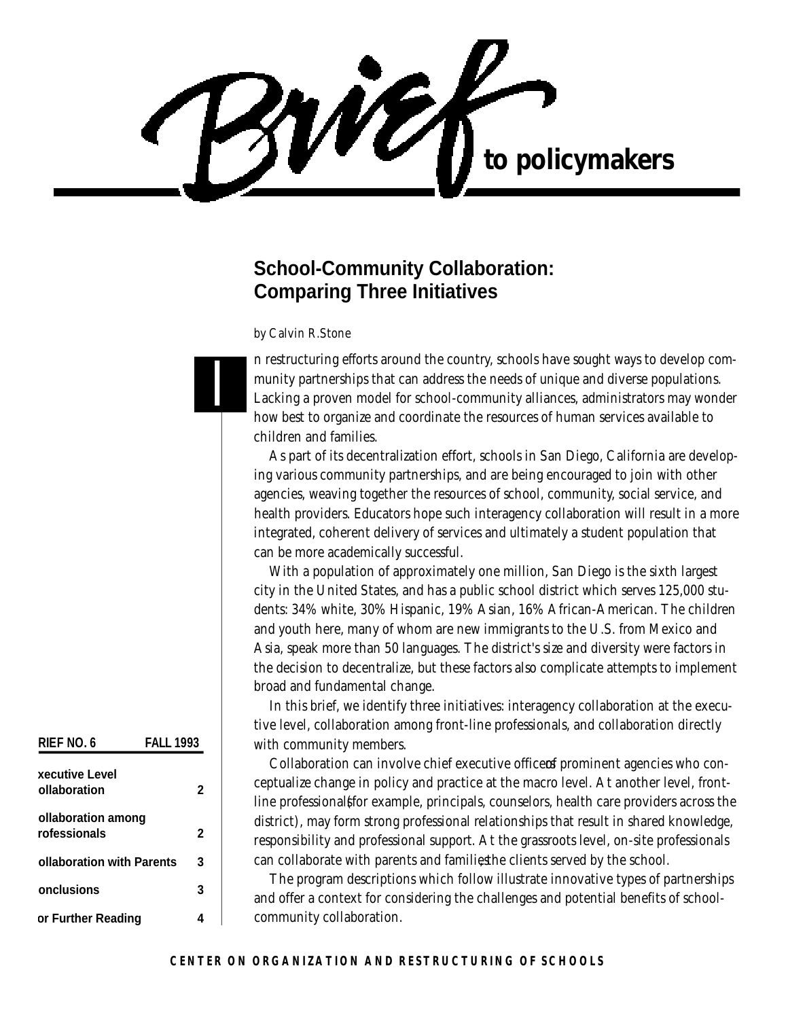**to policymakers** 

# **School-Community Collaboration: Comparing Three Initiatives**

*by Calvin R.Stone*

I

n restructuring efforts around the country, schools have sought ways to develop community partnerships that can address the needs of unique and diverse populations. Lacking a proven model for school-community alliances, administrators may wonder how best to organize and coordinate the resources of human services available to children and families.

As part of its decentralization effort, schools in San Diego, California are developing various community partnerships, and are being encouraged to join with other agencies, weaving together the resources of school, community, social service, and health providers. Educators hope such interagency collaboration will result in a more integrated, coherent delivery of services and ultimately a student population that can be more academically successful.

With a population of approximately one million, San Diego is the sixth largest city in the United States, and has a public school district which serves 125,000 students: 34% white, 30% Hispanic, 19% Asian, 16% African-American. The children and youth here, many of whom are new immigrants to the U.S. from Mexico and Asia, speak more than 50 languages. The district's size and diversity were factors in the decision to decentralize, but these factors also complicate attempts to implement broad and fundamental change.

In this brief, we identify three initiatives: interagency collaboration at the executive level, collaboration among front-line professionals, and collaboration directly with community members.

Collaboration can involve chief executive officers prominent agencies who conceptualize change in policy and practice at the macro level. At another level, *frontline professionals*(for example, principals, counselors, health care providers across the district), may form strong professional relationships that result in shared knowledge, responsibility and professional support. At the grassroots level, on-site professionals can collaborate with parents and families the clients served by the school.

The program descriptions which follow illustrate innovative types of partnerships and offer a context for considering the challenges and potential benefits of schoolcommunity collaboration.

| RIEF NO. 6                              | <b>FALL 1993</b> |   |
|-----------------------------------------|------------------|---|
| xecutive Level<br>ollaboration          |                  | 2 |
| ollaboration among<br>rofessionals<br>2 |                  |   |
| ollaboration with Parents               |                  | 3 |
| onclusions                              |                  | 3 |
| or Further Reading                      |                  |   |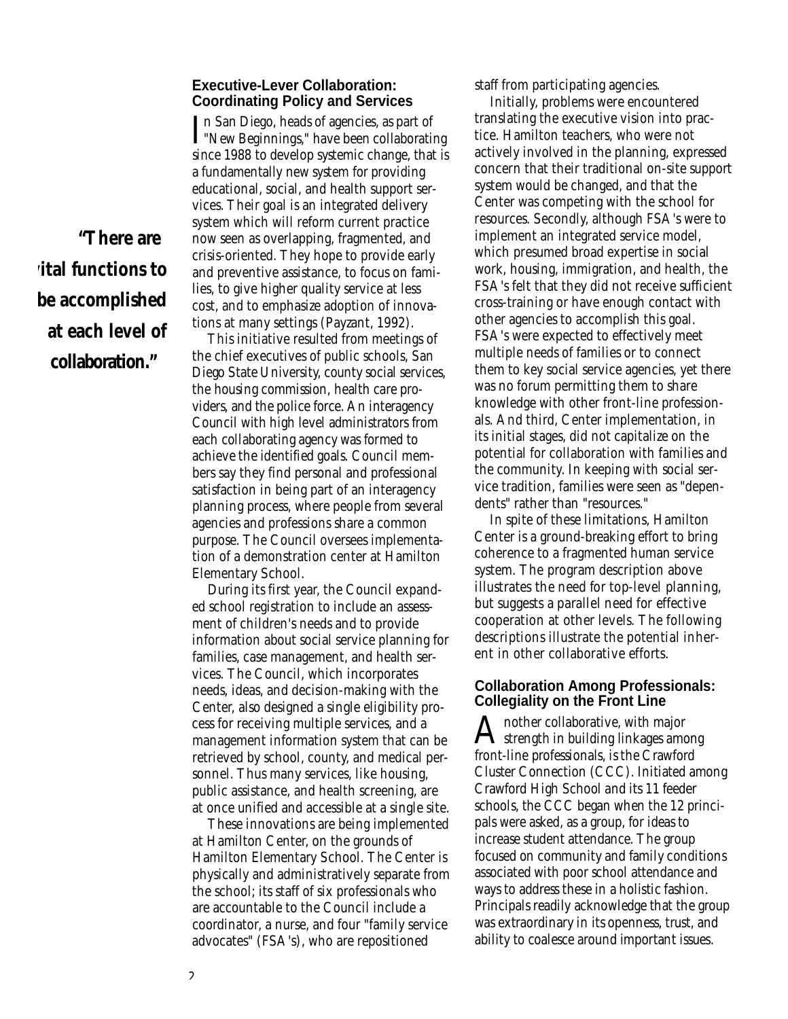### **Executive-Lever Collaboration: Coordinating Policy and Services**

I "New Beginnings," have been collaborating n San Diego, heads of agencies, as part of since 1988 to develop systemic change, that is a fundamentally new system for providing educational, social, and health support services. Their goal is an integrated delivery system which will reform current practice now seen as overlapping, fragmented, and crisis-oriented. They hope to provide early and preventive assistance, to focus on families, to give higher quality service at less cost, and to emphasize adoption of innovations at many settings (Payzant, 1992).

This initiative resulted from meetings of the chief executives of public schools, San Diego State University, county social services, the housing commission, health care providers, and the police force. An interagency Council with high level administrators from each collaborating agency was formed to achieve the identified goals. Council members say they find personal and professional satisfaction in being part of an interagency planning process, where people from several agencies and professions share a common purpose. The Council oversees implementation of a demonstration center at Hamilton Elementary School.

During its first year, the Council expanded school registration to include an assessment of children's needs and to provide information about social service planning for families, case management, and health services. The Council, which incorporates needs, ideas, and decision-making with the Center, also designed a single eligibility process for receiving multiple services, and a management information system that can be retrieved by school, county, and medical personnel. Thus many services, like housing, public assistance, and health screening, are at once unified and accessible at a single site.

These innovations are being implemented at Hamilton Center, on the grounds of Hamilton Elementary School. The Center is physically and administratively separate from the school; its staff of six professionals who are accountable to the Council include a coordinator, a nurse, and four "family service advocates" (FSA's), who are repositioned

staff from participating agencies.

Initially, problems were encountered translating the executive vision into practice. Hamilton teachers, who were not actively involved in the planning, expressed concern that their traditional on-site support system would be changed, and that the Center was competing with the school for resources. Secondly, although FSA's were to implement an integrated service model, which presumed broad expertise in social work, housing, immigration, and health, the FSA's felt that they did not receive sufficient cross-training or have enough contact with other agencies to accomplish this goal. FSA's were expected to effectively meet multiple needs of families or to connect them to key social service agencies, yet there was no forum permitting them to share knowledge with other front-line professionals. And third, Center implementation, in its initial stages, did not capitalize on the potential for collaboration with families and the community. In keeping with social service tradition, families were seen as "dependents" rather than "resources."

In spite of these limitations, Hamilton Center is a ground-breaking effort to bring coherence to a fragmented human service system. The program description above illustrates the need for top-level planning, but suggests a parallel need for effective cooperation at other levels. The following descriptions illustrate the potential inherent in other collaborative efforts.

### **Collaboration Among Professionals: Collegiality on the Front Line**

A nother collaborative, with major<br>strength in building linkages among nother collaborative, with major front-line professionals, is the Crawford Cluster Connection (CCC). Initiated among Crawford High School and its 11 feeder schools, the CCC began when the 12 principals were asked, as a group, for ideas to increase student attendance. The group focused on community and family conditions associated with poor school attendance and ways to address these in a holistic fashion. Principals readily acknowledge that the group was extraordinary in its openness, trust, and ability to coalesce around important issues.

*"There are vital functions to be accomplished at each level of c o l l a b o r a t i o n . "*